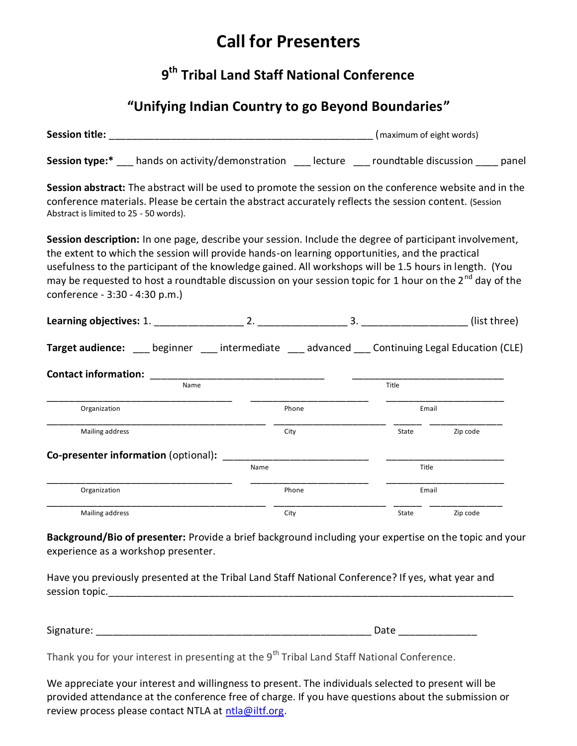# **Call for Presenters**

## **9 th Tribal Land Staff National Conference**

### **"Unifying Indian Country to go Beyond Boundaries"**

|                                                                                                                                                                                                                                                                                                                                                                                                                                                                               |       |  |       | (maximum of eight words) |  |  |
|-------------------------------------------------------------------------------------------------------------------------------------------------------------------------------------------------------------------------------------------------------------------------------------------------------------------------------------------------------------------------------------------------------------------------------------------------------------------------------|-------|--|-------|--------------------------|--|--|
|                                                                                                                                                                                                                                                                                                                                                                                                                                                                               |       |  |       |                          |  |  |
| Session abstract: The abstract will be used to promote the session on the conference website and in the<br>conference materials. Please be certain the abstract accurately reflects the session content. (Session<br>Abstract is limited to 25 - 50 words).                                                                                                                                                                                                                   |       |  |       |                          |  |  |
| Session description: In one page, describe your session. Include the degree of participant involvement,<br>the extent to which the session will provide hands-on learning opportunities, and the practical<br>usefulness to the participant of the knowledge gained. All workshops will be 1.5 hours in length. (You<br>may be requested to host a roundtable discussion on your session topic for 1 hour on the 2 <sup>nd</sup> day of the<br>conference - 3:30 - 4:30 p.m.) |       |  |       |                          |  |  |
|                                                                                                                                                                                                                                                                                                                                                                                                                                                                               |       |  |       |                          |  |  |
| Target audience: ___ beginner ___ intermediate ___ advanced ___ Continuing Legal Education (CLE)                                                                                                                                                                                                                                                                                                                                                                              |       |  |       |                          |  |  |
| <b>Contact information:</b>                                                                                                                                                                                                                                                                                                                                                                                                                                                   |       |  |       |                          |  |  |
| Name                                                                                                                                                                                                                                                                                                                                                                                                                                                                          |       |  | Title |                          |  |  |
| Organization                                                                                                                                                                                                                                                                                                                                                                                                                                                                  | Phone |  | Email |                          |  |  |
| Mailing address                                                                                                                                                                                                                                                                                                                                                                                                                                                               | City  |  | State | Zip code                 |  |  |
| <b>Co-presenter information (optional):</b>                                                                                                                                                                                                                                                                                                                                                                                                                                   |       |  |       |                          |  |  |
|                                                                                                                                                                                                                                                                                                                                                                                                                                                                               | Name  |  |       | Title                    |  |  |
| Organization                                                                                                                                                                                                                                                                                                                                                                                                                                                                  | Phone |  | Email |                          |  |  |
| Mailing address                                                                                                                                                                                                                                                                                                                                                                                                                                                               | City  |  | State | Zip code                 |  |  |
| Background/Bio of presenter: Provide a brief background including your expertise on the topic and your<br>experience as a workshop presenter.                                                                                                                                                                                                                                                                                                                                 |       |  |       |                          |  |  |

Have you previously presented at the Tribal Land Staff National Conference? If yes, what year and

Signature: \_\_\_\_\_\_\_\_\_\_\_\_\_\_\_\_\_\_\_\_\_\_\_\_\_\_\_\_\_\_\_\_\_\_\_\_\_\_\_\_\_\_\_\_\_\_\_\_\_ Date \_\_\_\_\_\_\_\_\_\_\_\_\_\_

Thank you for your interest in presenting at the 9<sup>th</sup> Tribal Land Staff National Conference.

session topic.

We appreciate your interest and willingness to present. The individuals selected to present will be provided attendance at the conference free of charge. If you have questions about the submission or review process please contact NTLA at  $n$ tla@iltf.org.